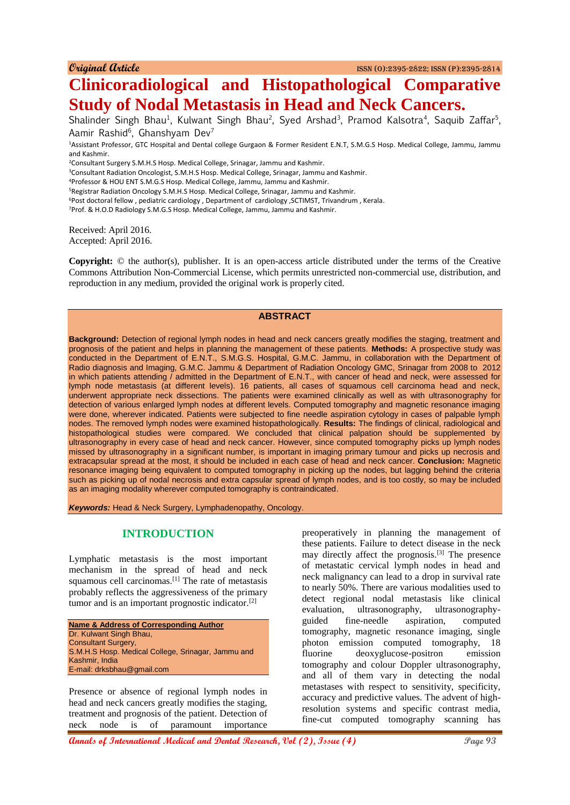# **Clinicoradiological and Histopathological Comparative Study of Nodal Metastasis in Head and Neck Cancers.**

Shalinder Singh Bhau<sup>1</sup>, Kulwant Singh Bhau<sup>2</sup>, Syed Arshad<sup>3</sup>, Pramod Kalsotra<sup>4</sup>, Saquib Zaffar<sup>5</sup>, Aamir Rashid<sup>6</sup>, Ghanshyam Dev<sup>7</sup>

<sup>1</sup>Assistant Professor, GTC Hospital and Dental college Gurgaon & Former Resident E.N.T, S.M.G.S Hosp. Medical College, Jammu, Jammu and Kashmir.

<sup>2</sup>Consultant Surgery S.M.H.S Hosp. Medical College, Srinagar, Jammu and Kashmir.

<sup>3</sup>Consultant Radiation Oncologist, S.M.H.S Hosp. Medical College, Srinagar, Jammu and Kashmir.

<sup>4</sup>Professor & HOU ENT S.M.G.S Hosp. Medical College, Jammu, Jammu and Kashmir.

<sup>5</sup>Registrar Radiation Oncology S.M.H.S Hosp. Medical College, Srinagar, Jammu and Kashmir.

<sup>6</sup>Post doctoral fellow , pediatric cardiology , Department of cardiology ,SCTIMST, Trivandrum , Kerala.

<sup>7</sup>Prof. & H.O.D Radiology S.M.G.S Hosp. Medical College, Jammu, Jammu and Kashmir.

Received: April 2016. Accepted: April 2016.

**Copyright:** © the author(s), publisher. It is an open-access article distributed under the terms of the Creative Commons Attribution Non-Commercial License, which permits unrestricted non-commercial use, distribution, and reproduction in any medium, provided the original work is properly cited.

### **ABSTRACT**

**Background:** Detection of regional lymph nodes in head and neck cancers greatly modifies the staging, treatment and prognosis of the patient and helps in planning the management of these patients. **Methods:** A prospective study was conducted in the Department of E.N.T., S.M.G.S. Hospital, G.M.C. Jammu, in collaboration with the Department of Radio diagnosis and Imaging, G.M.C. Jammu & Department of Radiation Oncology GMC, Srinagar from 2008 to 2012 in which patients attending / admitted in the Department of E.N.T., with cancer of head and neck, were assessed for lymph node metastasis (at different levels). 16 patients, all cases of squamous cell carcinoma head and neck, underwent appropriate neck dissections. The patients were examined clinically as well as with ultrasonography for detection of various enlarged lymph nodes at different levels. Computed tomography and magnetic resonance imaging were done, wherever indicated. Patients were subjected to fine needle aspiration cytology in cases of palpable lymph nodes. The removed lymph nodes were examined histopathologically. **Results:** The findings of clinical, radiological and histopathological studies were compared. We concluded that clinical palpation should be supplemented by ultrasonography in every case of head and neck cancer. However, since computed tomography picks up lymph nodes missed by ultrasonography in a significant number, is important in imaging primary tumour and picks up necrosis and extracapsular spread at the most, it should be included in each case of head and neck cancer. **Conclusion:** Magnetic resonance imaging being equivalent to computed tomography in picking up the nodes, but lagging behind the criteria such as picking up of nodal necrosis and extra capsular spread of lymph nodes, and is too costly, so may be included as an imaging modality wherever computed tomography is contraindicated.

*Keywords:* Head & Neck Surgery, Lymphadenopathy, Oncology.

# **INTRODUCTION**

Lymphatic metastasis is the most important mechanism in the spread of head and neck squamous cell carcinomas.[1] The rate of metastasis probably reflects the aggressiveness of the primary tumor and is an important prognostic indicator.<sup>[2]</sup>

**Name & Address of Corresponding Author** Dr. Kulwant Singh Bhau, Consultant Surgery, S.M.H.S Hosp. Medical College, Srinagar, Jammu and Kashmir, India E-mail: drksbhau@gmail.com

Presence or absence of regional lymph nodes in head and neck cancers greatly modifies the staging, treatment and prognosis of the patient. Detection of neck node is of paramount importance

preoperatively in planning the management of these patients. Failure to detect disease in the neck may directly affect the prognosis.[3] The presence of metastatic cervical lymph nodes in head and neck malignancy can lead to a drop in survival rate to nearly 50%. There are various modalities used to detect regional nodal metastasis like clinical evaluation, ultrasonography, ultrasonographyguided fine-needle aspiration, computed tomography, magnetic resonance imaging, single photon emission computed tomography, 18 fluorine deoxyglucose-positron emission tomography and colour Doppler ultrasonography, and all of them vary in detecting the nodal metastases with respect to sensitivity, specificity, accuracy and predictive values. The advent of highresolution systems and specific contrast media, fine-cut computed tomography scanning has

**Annals of International Medical and Dental Research, Vol (2), Issue (4)** Page 93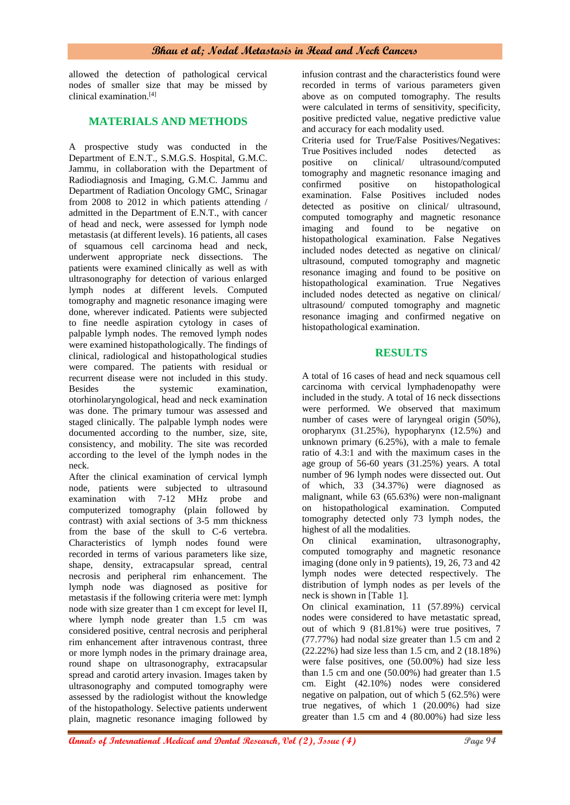allowed the detection of pathological cervical nodes of smaller size that may be missed by clinical examination.[4]

# **MATERIALS AND METHODS**

A prospective study was conducted in the Department of E.N.T., S.M.G.S. Hospital, G.M.C. Jammu, in collaboration with the Department of Radiodiagnosis and Imaging, G.M.C. Jammu and Department of Radiation Oncology GMC, Srinagar from 2008 to 2012 in which patients attending / admitted in the Department of E.N.T., with cancer of head and neck, were assessed for lymph node metastasis (at different levels). 16 patients, all cases of squamous cell carcinoma head and neck, underwent appropriate neck dissections. The patients were examined clinically as well as with ultrasonography for detection of various enlarged lymph nodes at different levels. Computed tomography and magnetic resonance imaging were done, wherever indicated. Patients were subjected to fine needle aspiration cytology in cases of palpable lymph nodes. The removed lymph nodes were examined histopathologically. The findings of clinical, radiological and histopathological studies were compared. The patients with residual or recurrent disease were not included in this study. Besides the systemic examination, otorhinolaryngological, head and neck examination was done. The primary tumour was assessed and staged clinically. The palpable lymph nodes were documented according to the number, size, site, consistency, and mobility. The site was recorded according to the level of the lymph nodes in the neck.

After the clinical examination of cervical lymph node, patients were subjected to ultrasound examination with 7-12 MHz probe and computerized tomography (plain followed by contrast) with axial sections of 3-5 mm thickness from the base of the skull to C-6 vertebra. Characteristics of lymph nodes found were recorded in terms of various parameters like size, shape, density, extracapsular spread, central necrosis and peripheral rim enhancement. The lymph node was diagnosed as positive for metastasis if the following criteria were met: lymph node with size greater than 1 cm except for level II, where lymph node greater than 1.5 cm was considered positive, central necrosis and peripheral rim enhancement after intravenous contrast, three or more lymph nodes in the primary drainage area, round shape on ultrasonography, extracapsular spread and carotid artery invasion. Images taken by ultrasonography and computed tomography were assessed by the radiologist without the knowledge of the histopathology. Selective patients underwent plain, magnetic resonance imaging followed by

infusion contrast and the characteristics found were recorded in terms of various parameters given above as on computed tomography. The results were calculated in terms of sensitivity, specificity, positive predicted value, negative predictive value and accuracy for each modality used.

Criteria used for True/False Positives/Negatives: True Positives included nodes detected as<br>positive on clinical/ ultrasound/commuted on clinical/ ultrasound/computed tomography and magnetic resonance imaging and confirmed positive on histopathological examination. False Positives included nodes detected as positive on clinical/ ultrasound, computed tomography and magnetic resonance imaging and found to be negative on histopathological examination. False Negatives included nodes detected as negative on clinical/ ultrasound, computed tomography and magnetic resonance imaging and found to be positive on histopathological examination. True Negatives included nodes detected as negative on clinical/ ultrasound/ computed tomography and magnetic resonance imaging and confirmed negative on histopathological examination.

# **RESULTS**

A total of 16 cases of head and neck squamous cell carcinoma with cervical lymphadenopathy were included in the study. A total of 16 neck dissections were performed. We observed that maximum number of cases were of laryngeal origin (50%), oropharynx (31.25%), hypopharynx (12.5%) and unknown primary (6.25%), with a male to female ratio of 4.3:1 and with the maximum cases in the age group of 56-60 years (31.25%) years. A total number of 96 lymph nodes were dissected out. Out of which, 33 (34.37%) were diagnosed as malignant, while 63 (65.63%) were non-malignant on histopathological examination. Computed tomography detected only 73 lymph nodes, the highest of all the modalities.<br>On clinical examination,

On clinical examination, ultrasonography, computed tomography and magnetic resonance imaging (done only in 9 patients), 19, 26, 73 and 42 lymph nodes were detected respectively. The distribution of lymph nodes as per levels of the neck is shown in [Table 1].

On clinical examination, 11 (57.89%) cervical nodes were considered to have metastatic spread, out of which 9 (81.81%) were true positives, 7 (77.77%) had nodal size greater than 1.5 cm and 2 (22.22%) had size less than 1.5 cm, and 2 (18.18%) were false positives, one (50.00%) had size less than 1.5 cm and one (50.00%) had greater than 1.5 cm. Eight (42.10%) nodes were considered negative on palpation, out of which 5 (62.5%) were true negatives, of which 1 (20.00%) had size greater than 1.5 cm and 4 (80.00%) had size less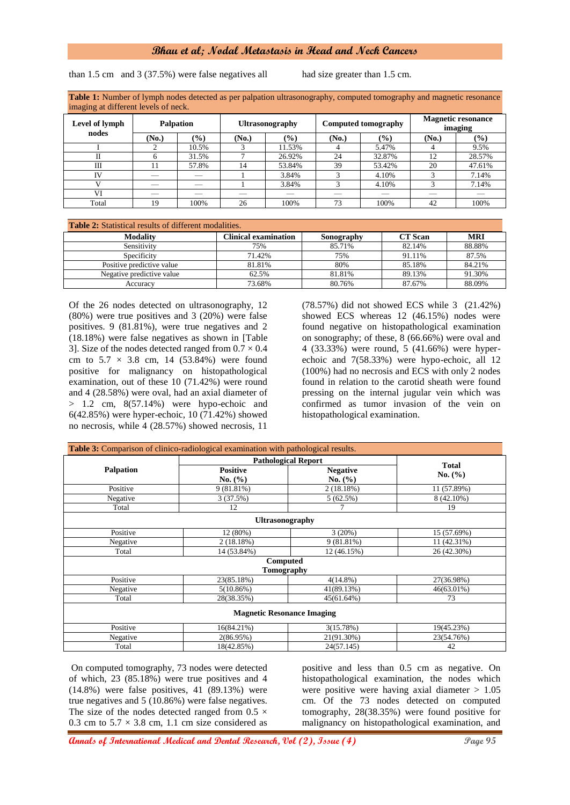## **Bhau et al; Nodal Metastasis in Head and Neck Cancers**

than 1.5 cm and 3 (37.5%) were false negatives all had size greater than 1.5 cm.

**Table 1:** Number of lymph nodes detected as per palpation ultrasonography, computed tomography and magnetic resonance imaging at different levels of neck.

| $\sim$                  |                  |       |                        |        |                            |               |                                      |                            |
|-------------------------|------------------|-------|------------------------|--------|----------------------------|---------------|--------------------------------------|----------------------------|
| Level of lymph<br>nodes | <b>Palpation</b> |       | <b>Ultrasonography</b> |        | <b>Computed tomography</b> |               | <b>Magnetic resonance</b><br>imaging |                            |
|                         | (No.)            | (%)   | (No.)                  | $(\%)$ | (No.)                      | $\frac{9}{6}$ | (No.)                                | $\left(\frac{0}{0}\right)$ |
|                         |                  | 10.5% |                        | 11.53% |                            | 5.47%         |                                      | 9.5%                       |
|                         |                  | 31.5% |                        | 26.92% | 24                         | 32.87%        | 12                                   | 28.57%                     |
| Ш                       | l 1              | 57.8% | 14                     | 53.84% | 39                         | 53.42%        | 20                                   | 47.61%                     |
| IV                      |                  |       |                        | 3.84%  |                            | 4.10%         |                                      | 7.14%                      |
|                         |                  |       |                        | 3.84%  |                            | 4.10%         |                                      | 7.14%                      |
| VI                      |                  |       |                        |        |                            |               |                                      |                            |
| Total                   | 19               | 100%  | 26                     | 100%   | 73                         | 100%          | 42                                   | 100%                       |

#### **Table 2:** Statistical results of different modalities.

| Tunio Ti Dunionom Tobano of Ghitolohi modulio d |                      |            |                |            |  |
|-------------------------------------------------|----------------------|------------|----------------|------------|--|
| <b>Modality</b>                                 | Clinical examination | Sonography | <b>CT</b> Scan | <b>MRI</b> |  |
| Sensitivity                                     | 75%                  | 85.71%     | 82.14%         | 88.88%     |  |
| Specificity                                     | 71.42%               | 75%        | 91.11%         | 87.5%      |  |
| Positive predictive value                       | 81.81%               | 80%        | 85.18%         | 84.21%     |  |
| Negative predictive value                       | 62.5%                | 81.81%     | 89.13%         | 91.30%     |  |
| Accuracv                                        | 73.68%               | 80.76%     | 87.67%         | 88.09%     |  |

Of the 26 nodes detected on ultrasonography, 12 (80%) were true positives and 3 (20%) were false positives. 9 (81.81%), were true negatives and 2 (18.18%) were false negatives as shown in [Table 3]. Size of the nodes detected ranged from  $0.7 \times 0.4$ cm to  $5.7 \times 3.8$  cm, 14 (53.84%) were found positive for malignancy on histopathological examination, out of these 10 (71.42%) were round and 4 (28.58%) were oval, had an axial diameter of  $> 1.2$  cm,  $8(57.14\%)$  were hypo-echoic and 6(42.85%) were hyper-echoic, 10 (71.42%) showed no necrosis, while 4 (28.57%) showed necrosis, 11

(78.57%) did not showed ECS while 3 (21.42%) showed ECS whereas 12 (46.15%) nodes were found negative on histopathological examination on sonography; of these, 8 (66.66%) were oval and 4 (33.33%) were round, 5 (41.66%) were hyperechoic and 7(58.33%) were hypo-echoic, all 12 (100%) had no necrosis and ECS with only 2 nodes found in relation to the carotid sheath were found pressing on the internal jugular vein which was confirmed as tumor invasion of the vein on histopathological examination.

|                                   | <b>Table 3:</b> Comparison of clinico-radiological examination with pathological results. |                                |                         |  |  |  |
|-----------------------------------|-------------------------------------------------------------------------------------------|--------------------------------|-------------------------|--|--|--|
|                                   | <b>Pathological Report</b>                                                                |                                |                         |  |  |  |
| <b>Palpation</b>                  | <b>Positive</b><br>No. $(\% )$                                                            | <b>Negative</b><br>No. $(\% )$ | <b>Total</b><br>No. (%) |  |  |  |
| Positive                          | $9(81.81\%)$                                                                              | 2(18.18%)                      | 11 (57.89%)             |  |  |  |
| Negative                          | 3(37.5%)                                                                                  | 5(62.5%)                       | 8 (42.10%)              |  |  |  |
| Total                             | 12                                                                                        |                                | 19                      |  |  |  |
|                                   | <b>Ultrasonography</b>                                                                    |                                |                         |  |  |  |
| Positive                          | 12 (80%)                                                                                  | $3(20\%)$                      | 15 (57.69%)             |  |  |  |
| Negative                          | 2(18.18%)                                                                                 | $9(81.81\%)$                   | 11 (42.31%)             |  |  |  |
| Total                             | 14 (53.84%)                                                                               | 12 (46.15%)                    | 26 (42.30%)             |  |  |  |
|                                   | Computed                                                                                  |                                |                         |  |  |  |
| Tomography                        |                                                                                           |                                |                         |  |  |  |
| Positive                          | 23(85.18%)                                                                                | $4(14.8\%)$                    | 27(36.98%)              |  |  |  |
| Negative                          | 5(10.86%)                                                                                 | 41(89.13%)                     | 46(63.01%)              |  |  |  |
| Total                             | 28(38.35%)                                                                                | 45(61.64%)                     | 73                      |  |  |  |
| <b>Magnetic Resonance Imaging</b> |                                                                                           |                                |                         |  |  |  |
| Positive                          | 16(84.21%)                                                                                | 3(15.78%)                      | 19(45.23%)              |  |  |  |
| Negative                          | 2(86.95%)                                                                                 | 21(91.30%)                     | 23(54.76%)              |  |  |  |
| Total                             | 18(42.85%)                                                                                | 24(57.145)                     | 42                      |  |  |  |

On computed tomography, 73 nodes were detected of which, 23 (85.18%) were true positives and 4 (14.8%) were false positives, 41 (89.13%) were true negatives and 5 (10.86%) were false negatives. The size of the nodes detected ranged from 0.5  $\times$ 0.3 cm to  $5.7 \times 3.8$  cm, 1.1 cm size considered as

positive and less than 0.5 cm as negative. On histopathological examination, the nodes which were positive were having axial diameter  $> 1.05$ cm. Of the 73 nodes detected on computed tomography, 28(38.35%) were found positive for malignancy on histopathological examination, and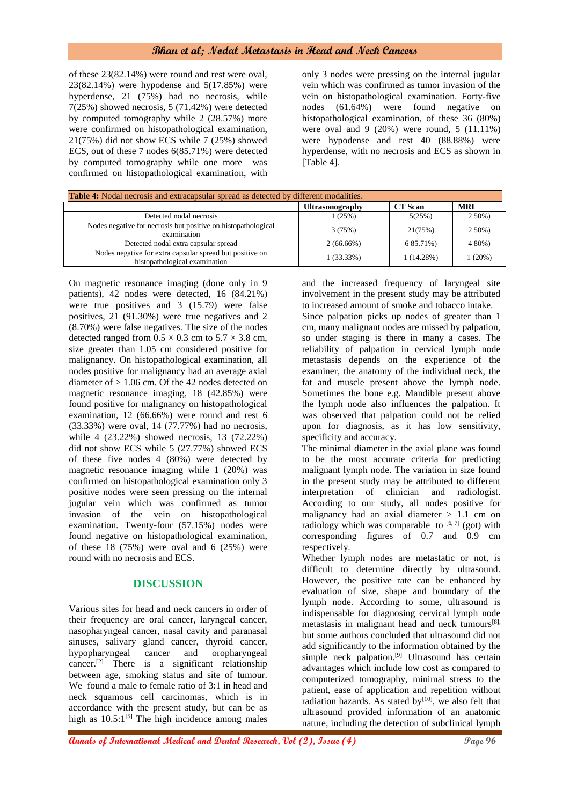# **Bhau et al; Nodal Metastasis in Head and Neck Cancers**

of these 23(82.14%) were round and rest were oval, 23(82.14%) were hypodense and 5(17.85%) were hyperdense, 21 (75%) had no necrosis, while 7(25%) showed necrosis, 5 (71.42%) were detected by computed tomography while 2 (28.57%) more were confirmed on histopathological examination, 21(75%) did not show ECS while 7 (25%) showed ECS, out of these 7 nodes 6(85.71%) were detected by computed tomography while one more was confirmed on histopathological examination, with only 3 nodes were pressing on the internal jugular vein which was confirmed as tumor invasion of the vein on histopathological examination. Forty-five nodes (61.64%) were found negative on histopathological examination, of these 36 (80%) were oval and 9 (20%) were round, 5 (11.11%) were hypodense and rest 40 (88.88%) were hyperdense, with no necrosis and ECS as shown in [Table 4].

| <b>Table 4:</b> Nodal necrosis and extracapsular spread as detected by different modalities. |                        |                |            |  |  |
|----------------------------------------------------------------------------------------------|------------------------|----------------|------------|--|--|
|                                                                                              | <b>Ultrasonography</b> | <b>CT</b> Scan | <b>MRI</b> |  |  |
| Detected nodal necrosis                                                                      | 1 (25%)                | 5(25%)         | 2 50%)     |  |  |
| Nodes negative for necrosis but positive on histopathological<br>examination                 | 3(75%)                 | 21(75%)        | $250\%)$   |  |  |
| Detected nodal extra capsular spread                                                         | $2(66.66\%)$           | 6 85.71%)      | 4 80%)     |  |  |
| Nodes negative for extra capsular spread but positive on<br>histopathological examination    | $1(33.33\%)$           | 1(14.28%)      | 1(20%)     |  |  |

On magnetic resonance imaging (done only in 9 patients), 42 nodes were detected, 16 (84.21%) were true positives and 3 (15.79) were false positives, 21 (91.30%) were true negatives and 2 (8.70%) were false negatives. The size of the nodes detected ranged from  $0.5 \times 0.3$  cm to  $5.7 \times 3.8$  cm, size greater than 1.05 cm considered positive for malignancy. On histopathological examination, all nodes positive for malignancy had an average axial diameter of > 1.06 cm. Of the 42 nodes detected on magnetic resonance imaging, 18 (42.85%) were found positive for malignancy on histopathological examination, 12 (66.66%) were round and rest 6 (33.33%) were oval, 14 (77.77%) had no necrosis, while 4 (23.22%) showed necrosis, 13 (72.22%) did not show ECS while 5 (27.77%) showed ECS of these five nodes 4 (80%) were detected by magnetic resonance imaging while 1 (20%) was confirmed on histopathological examination only 3 positive nodes were seen pressing on the internal jugular vein which was confirmed as tumor invasion of the vein on histopathological examination. Twenty-four (57.15%) nodes were found negative on histopathological examination, of these  $18$  (75%) were oval and 6 (25%) were round with no necrosis and ECS.

# **DISCUSSION**

Various sites for head and neck cancers in order of their frequency are oral cancer, laryngeal cancer, nasopharyngeal cancer, nasal cavity and paranasal sinuses, salivary gland cancer, thyroid cancer, hypopharyngeal cancer and oropharyngeal cancer.<sup>[2]</sup> There is a significant relationship between age, smoking status and site of tumour. We found a male to female ratio of 3:1 in head and neck squamous cell carcinomas, which is in accordance with the present study, but can be as high as  $10.5:1^{[5]}$  The high incidence among males

and the increased frequency of laryngeal site involvement in the present study may be attributed to increased amount of smoke and tobacco intake.

Since palpation picks up nodes of greater than 1 cm, many malignant nodes are missed by palpation, so under staging is there in many a cases. The reliability of palpation in cervical lymph node metastasis depends on the experience of the examiner, the anatomy of the individual neck, the fat and muscle present above the lymph node. Sometimes the bone e.g. Mandible present above the lymph node also influences the palpation. It was observed that palpation could not be relied upon for diagnosis, as it has low sensitivity, specificity and accuracy.

The minimal diameter in the axial plane was found to be the most accurate criteria for predicting malignant lymph node. The variation in size found in the present study may be attributed to different interpretation of clinician and radiologist. According to our study, all nodes positive for malignancy had an axial diameter  $> 1.1$  cm on radiology which was comparable to  $[6, 7]$  (got) with corresponding figures of 0.7 and 0.9 cm respectively.

Whether lymph nodes are metastatic or not, is difficult to determine directly by ultrasound. However, the positive rate can be enhanced by evaluation of size, shape and boundary of the lymph node. According to some, ultrasound is indispensable for diagnosing cervical lymph node metastasis in malignant head and neck tumours<sup>[8],</sup> but some authors concluded that ultrasound did not add significantly to the information obtained by the simple neck palpation.<sup>[9]</sup> Ultrasound has certain advantages which include low cost as compared to computerized tomography, minimal stress to the patient, ease of application and repetition without radiation hazards. As stated by $[10]$ , we also felt that ultrasound provided information of an anatomic nature, including the detection of subclinical lymph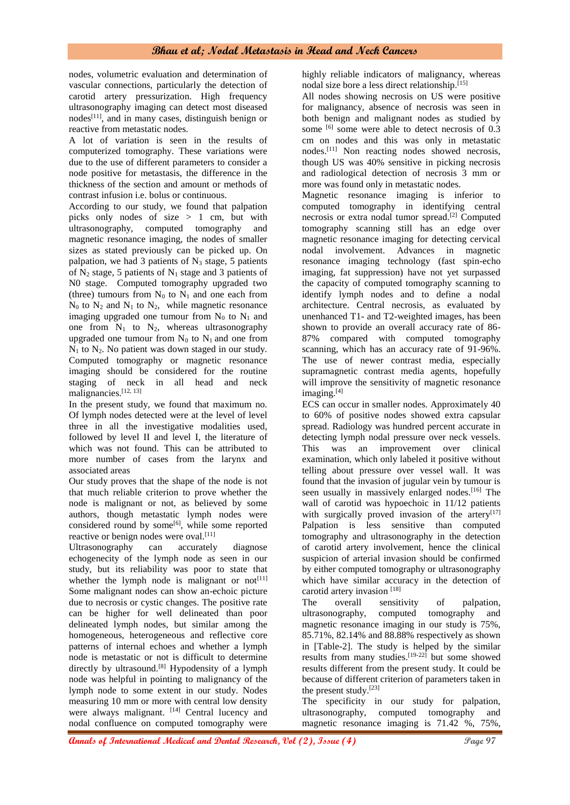# **Bhau et al; Nodal Metastasis in Head and Neck Cancers**

nodes, volumetric evaluation and determination of vascular connections, particularly the detection of carotid artery pressurization. High frequency ultrasonography imaging can detect most diseased nodes<sup>[11]</sup>, and in many cases, distinguish benign or reactive from metastatic nodes.

A lot of variation is seen in the results of computerized tomography. These variations were due to the use of different parameters to consider a node positive for metastasis, the difference in the thickness of the section and amount or methods of contrast infusion i.e. bolus or continuous.

According to our study, we found that palpation picks only nodes of size > 1 cm, but with ultrasonography, computed tomography and magnetic resonance imaging, the nodes of smaller sizes as stated previously can be picked up. On palpation, we had 3 patients of  $N_3$  stage, 5 patients of  $N_2$  stage, 5 patients of  $N_1$  stage and 3 patients of N0 stage. Computed tomography upgraded two (three) tumours from  $N_0$  to  $N_1$  and one each from  $N_0$  to  $N_2$  and  $N_1$  to  $N_2$ , while magnetic resonance imaging upgraded one tumour from  $N_0$  to  $N_1$  and one from  $N_1$  to  $N_2$ , whereas ultrasonography upgraded one tumour from  $N_0$  to  $N_1$  and one from  $N_1$  to  $N_2$ . No patient was down staged in our study. Computed tomography or magnetic resonance imaging should be considered for the routine staging of neck in all head and neck malignancies.[12, 13]

In the present study, we found that maximum no. Of lymph nodes detected were at the level of level three in all the investigative modalities used, followed by level II and level I, the literature of which was not found. This can be attributed to more number of cases from the larynx and associated areas

Our study proves that the shape of the node is not that much reliable criterion to prove whether the node is malignant or not, as believed by some authors, though metastatic lymph nodes were considered round by some<sup>[6]</sup>, while some reported reactive or benign nodes were oval.<sup>[11]</sup>

Ultrasonography can accurately diagnose echogenecity of the lymph node as seen in our study, but its reliability was poor to state that whether the lymph node is malignant or  $not[11]$ Some malignant nodes can show an-echoic picture due to necrosis or cystic changes. The positive rate can be higher for well delineated than poor delineated lymph nodes, but similar among the homogeneous, heterogeneous and reflective core patterns of internal echoes and whether a lymph node is metastatic or not is difficult to determine directly by ultrasound.<sup>[8]</sup> Hypodensity of a lymph node was helpful in pointing to malignancy of the lymph node to some extent in our study. Nodes measuring 10 mm or more with central low density were always malignant. [14] Central lucency and nodal confluence on computed tomography were

highly reliable indicators of malignancy, whereas nodal size bore a less direct relationship.[15]

All nodes showing necrosis on US were positive for malignancy, absence of necrosis was seen in both benign and malignant nodes as studied by some <sup>[6]</sup> some were able to detect necrosis of 0.3 cm on nodes and this was only in metastatic nodes.[11] Non reacting nodes showed necrosis, though US was 40% sensitive in picking necrosis and radiological detection of necrosis 3 mm or more was found only in metastatic nodes.

Magnetic resonance imaging is inferior to computed tomography in identifying central necrosis or extra nodal tumor spread.[2] Computed tomography scanning still has an edge over magnetic resonance imaging for detecting cervical nodal involvement. Advances in magnetic resonance imaging technology (fast spin-echo imaging, fat suppression) have not yet surpassed the capacity of computed tomography scanning to identify lymph nodes and to define a nodal architecture. Central necrosis, as evaluated by unenhanced T1- and T2-weighted images, has been shown to provide an overall accuracy rate of 86- 87% compared with computed tomography scanning, which has an accuracy rate of 91-96%. The use of newer contrast media, especially supramagnetic contrast media agents, hopefully will improve the sensitivity of magnetic resonance imaging.<sup>[4]</sup>

ECS can occur in smaller nodes. Approximately 40 to 60% of positive nodes showed extra capsular spread. Radiology was hundred percent accurate in detecting lymph nodal pressure over neck vessels. This was an improvement over clinical examination, which only labeled it positive without telling about pressure over vessel wall. It was found that the invasion of jugular vein by tumour is seen usually in massively enlarged nodes.<sup>[16]</sup> The wall of carotid was hypoechoic in 11/12 patients with surgically proved invasion of the artery<sup>[17]</sup> Palpation is less sensitive than computed tomography and ultrasonography in the detection of carotid artery involvement, hence the clinical suspicion of arterial invasion should be confirmed by either computed tomography or ultrasonography which have similar accuracy in the detection of carotid artery invasion [18]

The overall sensitivity of palpation, ultrasonography, computed tomography and magnetic resonance imaging in our study is 75%, 85.71%, 82.14% and 88.88% respectively as shown in [Table-2]. The study is helped by the similar results from many studies.<sup>[19-22]</sup> but some showed results different from the present study. It could be because of different criterion of parameters taken in the present study.[23]

The specificity in our study for palpation, ultrasonography, computed tomography and magnetic resonance imaging is 71.42 %, 75%,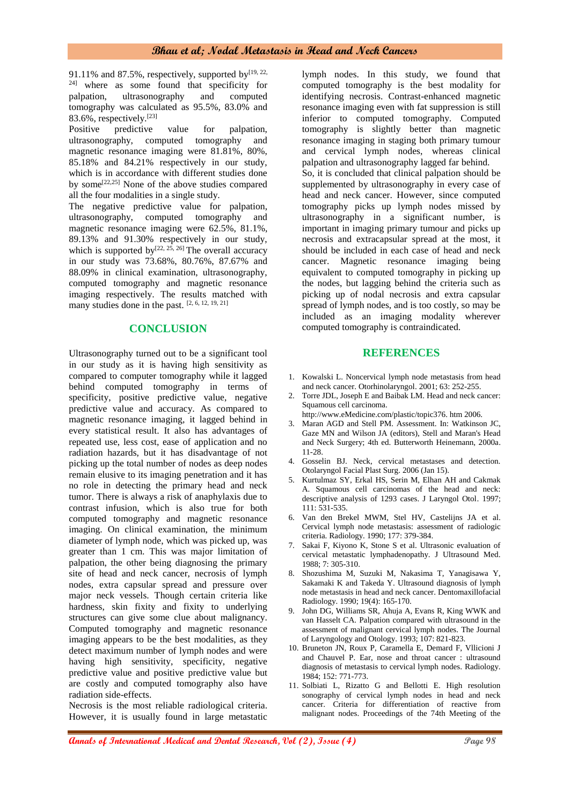91.11% and 87.5%, respectively, supported by  $[19, 22, 10]$ 24] where as some found that specificity for palpation, ultrasonography and computed tomography was calculated as 95.5%, 83.0% and 83.6%, respectively. $[23]$ 

Positive predictive value for palpation, ultrasonography, computed tomography and magnetic resonance imaging were 81.81%, 80%, 85.18% and 84.21% respectively in our study, which is in accordance with different studies done by some<sup>[22,25]</sup> None of the above studies compared all the four modalities in a single study.

The negative predictive value for palpation, ultrasonography, computed tomography and magnetic resonance imaging were 62.5%, 81.1%, 89.13% and 91.30% respectively in our study, which is supported by<sup>[22, 25, 26]</sup> The overall accuracy in our study was 73.68%, 80.76%, 87.67% and 88.09% in clinical examination, ultrasonography, computed tomography and magnetic resonance imaging respectively. The results matched with many studies done in the past. [2, 6, 12, 19, 21]

# **CONCLUSION**

Ultrasonography turned out to be a significant tool in our study as it is having high sensitivity as compared to computer tomography while it lagged behind computed tomography in terms of specificity, positive predictive value, negative predictive value and accuracy. As compared to magnetic resonance imaging, it lagged behind in every statistical result. It also has advantages of repeated use, less cost, ease of application and no radiation hazards, but it has disadvantage of not picking up the total number of nodes as deep nodes remain elusive to its imaging penetration and it has no role in detecting the primary head and neck tumor. There is always a risk of anaphylaxis due to contrast infusion, which is also true for both computed tomography and magnetic resonance imaging. On clinical examination, the minimum diameter of lymph node, which was picked up, was greater than 1 cm. This was major limitation of palpation, the other being diagnosing the primary site of head and neck cancer, necrosis of lymph nodes, extra capsular spread and pressure over major neck vessels. Though certain criteria like hardness, skin fixity and fixity to underlying structures can give some clue about malignancy. Computed tomography and magnetic resonance imaging appears to be the best modalities, as they detect maximum number of lymph nodes and were having high sensitivity, specificity, negative predictive value and positive predictive value but are costly and computed tomography also have radiation side-effects.

Necrosis is the most reliable radiological criteria. However, it is usually found in large metastatic lymph nodes. In this study, we found that computed tomography is the best modality for identifying necrosis. Contrast-enhanced magnetic resonance imaging even with fat suppression is still inferior to computed tomography. Computed tomography is slightly better than magnetic resonance imaging in staging both primary tumour and cervical lymph nodes, whereas clinical palpation and ultrasonography lagged far behind. So, it is concluded that clinical palpation should be supplemented by ultrasonography in every case of head and neck cancer. However, since computed tomography picks up lymph nodes missed by ultrasonography in a significant number, is important in imaging primary tumour and picks up necrosis and extracapsular spread at the most, it should be included in each case of head and neck cancer. Magnetic resonance imaging being equivalent to computed tomography in picking up the nodes, but lagging behind the criteria such as picking up of nodal necrosis and extra capsular spread of lymph nodes, and is too costly, so may be included as an imaging modality wherever computed tomography is contraindicated.

# **REFERENCES**

- 1. Kowalski L. Noncervical lymph node metastasis from head and neck cancer. Otorhinolaryngol. 2001; 63: 252-255.
- 2. Torre JDL, Joseph E and Baibak LM. Head and neck cancer: Squamous cell carcinoma.
- http://www.eMedicine.com/plastic/topic376. htm 2006.
- Maran AGD and Stell PM. Assessment. In: Watkinson JC, Gaze MN and Wilson JA (editors), Stell and Maran's Head and Neck Surgery; 4th ed. Butterworth Heinemann, 2000a. 11-28.
- 4. Gosselin BJ. Neck, cervical metastases and detection. Otolaryngol Facial Plast Surg. 2006 (Jan 15).
- 5. Kurtulmaz SY, Erkal HS, Serin M, Elhan AH and Cakmak A. Squamous cell carcinomas of the head and neck: descriptive analysis of 1293 cases. J Laryngol Otol. 1997; 111: 531-535.
- 6. Van den Brekel MWM, Stel HV, Castelijns JA et al. Cervical lymph node metastasis: assessment of radiologic criteria. Radiology. 1990; 177: 379-384.
- 7. Sakai F, Kiyono K, Stone S et al. Ultrasonic evaluation of cervical metastatic lymphadenopathy. J Ultrasound Med. 1988; 7: 305-310.
- 8. Shozushima M, Suzuki M, Nakasima T, Yanagisawa Y, Sakamaki K and Takeda Y. Ultrasound diagnosis of lymph node metastasis in head and neck cancer. Dentomaxillofacial Radiology. 1990; 19(4): 165-170.
- 9. John DG, Williams SR, Ahuja A, Evans R, King WWK and van Hasselt CA. Palpation compared with ultrasound in the assessment of malignant cervical lymph nodes. The Journal of Laryngology and Otology. 1993; 107: 821-823.
- 10. Bruneton JN, Roux P, Caramella E, Demard F, Vllicioni J and Chauvel P. Ear, nose and throat cancer : ultrasound diagnosis of metastasis to cervical lymph nodes. Radiology. 1984; 152: 771-773.
- 11. Solbiati L, Rizatto G and Bellotti E. High resolution sonography of cervical lymph nodes in head and neck cancer. Criteria for differentiation of reactive from malignant nodes. Proceedings of the 74th Meeting of the